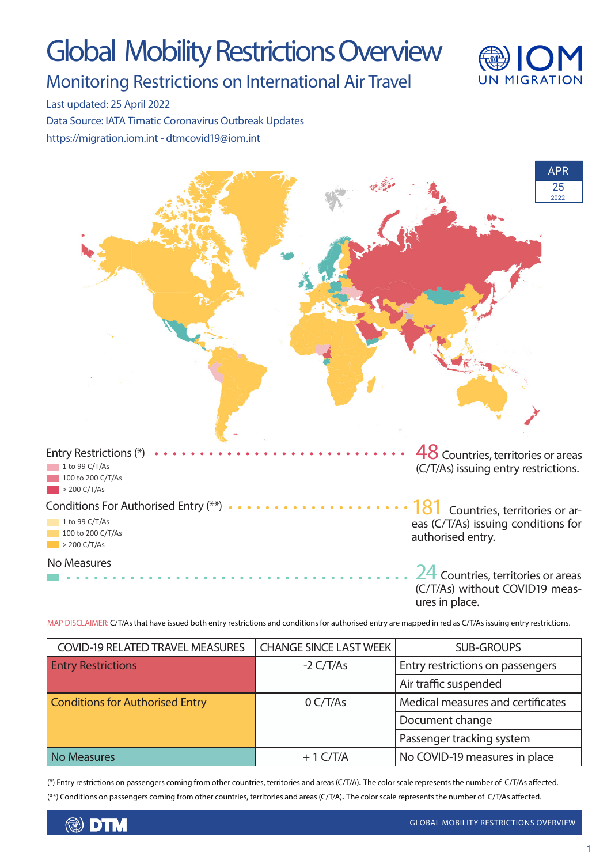# Global Mobility Restrictions Overview



Monitoring Restrictions on International Air Travel

Last updated: 25 April 2022

Data Source: IATA Timatic Coronavirus Outbreak Updates https://migration.iom.int - dtmcovid19@iom.int



MAP DISCLAIMER: C/T/As that have issued both entry restrictions and conditions for authorised entry are mapped in red as C/T/As issuing entry restrictions.

| <b>COVID-19 RELATED TRAVEL MEASURES</b> | <b>CHANGE SINCE LAST WEEK</b> | <b>SUB-GROUPS</b>                 |
|-----------------------------------------|-------------------------------|-----------------------------------|
| <b>Entry Restrictions</b>               | $-2 \frac{C}{T/As}$           | Entry restrictions on passengers  |
|                                         |                               | Air traffic suspended             |
| <b>Conditions for Authorised Entry</b>  | 0 C/T/As                      | Medical measures and certificates |
|                                         |                               | Document change                   |
|                                         |                               | Passenger tracking system         |
| <b>No Measures</b>                      | $+1$ C/T/A                    | No COVID-19 measures in place     |

(\*) Entry restrictions on passengers coming from other countries, territories and areas (C/T/A). The color scale represents the number of C/T/As affected. (\*\*) Conditions on passengers coming from other countries, territories and areas (C/T/A). The color scale represents the number of C/T/As affected.

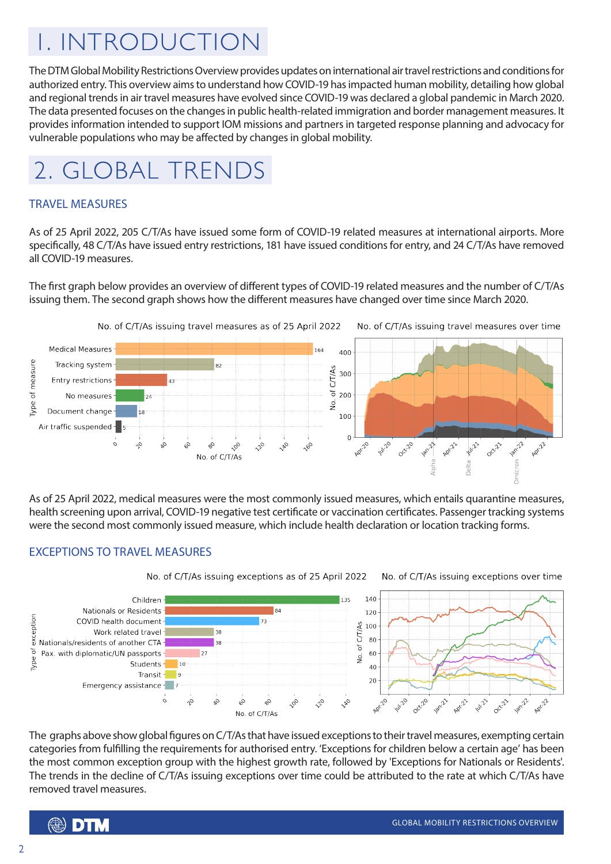## 1. INTRODUCTION

The DTM Global Mobility Restrictions Overview provides updates on international air travel restrictions and conditions for authorized entry. This overview aims to understand how COVID-19 has impacted human mobility, detailing how global and regional trends in air travel measures have evolved since COVID-19 was declared a global pandemic in March 2020. The data presented focuses on the changes in public health-related immigration and border management measures. It provides information intended to support IOM missions and partners in targeted response planning and advocacy for vulnerable populations who may be affected by changes in global mobility.



#### TRAVEL MEASURES

As of 25 April 2022, 205 C/T/As have issued some form of COVID-19 related measures at international airports. More specifically, 48 C/T/As have issued entry restrictions, 181 have issued conditions for entry, and 24 C/T/As have removed all COVID-19 measures.

The first graph below provides an overview of different types of COVID-19 related measures and the number of C/T/As issuing them. The second graph shows how the different measures have changed over time since March 2020.



As of 25 April 2022, medical measures were the most commonly issued measures, which entails quarantine measures, health screening upon arrival, COVID-19 negative test certificate or vaccination certificates. Passenger tracking systems were the second most commonly issued measure, which include health declaration or location tracking forms.

#### EXCEPTIONS TO TRAVEL MEASURES



The graphs above show global figures on C/T/As that have issued exceptions to their travel measures, exempting certain categories from fulfilling the requirements for authorised entry. 'Exceptions for children below a certain age' has been the most common exception group with the highest growth rate, followed by 'Exceptions for Nationals or Residents'. The trends in the decline of C/T/As issuing exceptions over time could be attributed to the rate at which C/T/As have removed travel measures.